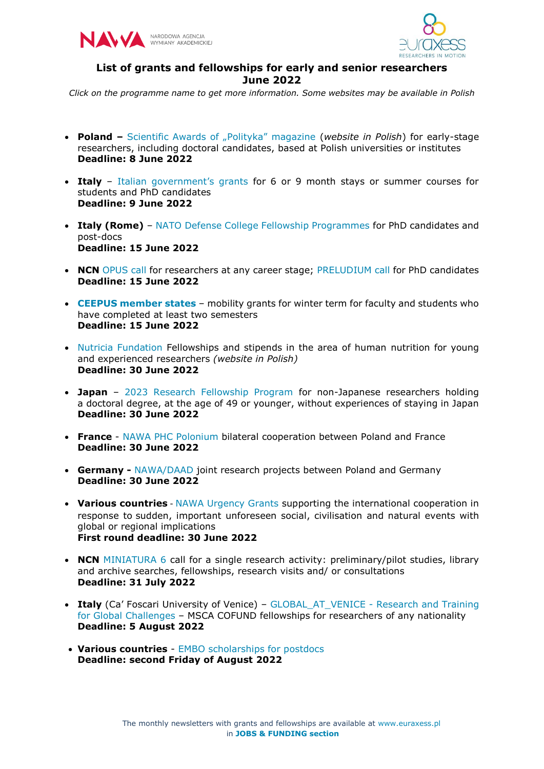



## **List of grants and fellowships for early and senior researchers June 2022**

*Click on the programme name to get more information. Some websites may be available in Polish*

- **Poland –** [Scientific Awards of "Polityka" magazine](https://www.polityka.pl/tygodnikpolityka/nauka/nagrodynaukowe/1744458,1,zapraszamy-do-22-edycji-nagrod-naukowych.read) (*website in Polish*) for early-stage researchers, including doctoral candidates, based at Polish universities or institutes **Deadline: 8 June 2022**
- **Italy** [Italian government's grants](https://studyinitaly.esteri.it/en/call-for-procedure) for 6 or 9 month stays or summer courses for students and PhD candidates **Deadline: 9 June 2022**
- **Italy (Rome)** [NATO Defense College Fellowship Programmes](https://www.ndc.nato.int/research/research.php?icode=4&%23ici) for PhD candidates and post-docs **Deadline: 15 June 2022**
- **NCN** [OPUS call](https://www.ncn.gov.pl/en/ogloszenia/konkursy/opus23) for researchers at any career stage; [PRELUDIUM call](https://www.ncn.gov.pl/en/ogloszenia/konkursy/preludium21) for PhD candidates **Deadline: 15 June 2022**
- **[CEEPUS member states](https://www.ceepus.info/content/home)** mobility grants for winter term for faculty and students who have completed at least two semesters **Deadline: 15 June 2022**
- [Nutricia Fundation](https://fundacjanutricia.pl/dzialalnosc/partnerstwo-i-nauka) Fellowships and stipends in the area of human nutrition for young and experienced researchers *(website in Polish)* **Deadline: 30 June 2022**
- **Japan**  [2023 Research Fellowship Program](https://www.mif-japan.org/en/fellowship/announcement/?hl=en) for non-Japanese researchers holding a doctoral degree, at the age of 49 or younger, without experiences of staying in Japan **Deadline: 30 June 2022**
- **France** [NAWA PHC Polonium](https://nawa.gov.pl/wspolpraca-i-wymiana-miedzynarodowa/wspolne-projekty-badawcze/nabory-2022/wspolne-projekty-badawcze-pomiedzy-polska-a-francja) bilateral cooperation between Poland and France **Deadline: 30 June 2022**
- **Germany -** [NAWA/DAAD](https://nawa.gov.pl/wspolpraca-i-wymiana-miedzynarodowa/wspolne-projekty-badawcze/nabory-2022/wspolne-projekty-badawcze-pomiedzy-polska-a-niemcami) joint research projects between Poland and Germany **Deadline: 30 June 2022**
- **Various countries** [NAWA Urgency Grants](https://nawa.gov.pl/en/scientists/nawa-urgency-grants) supporting the international cooperation in response to sudden, important unforeseen social, civilisation and natural events with global or regional implications **First round deadline: 30 June 2022**
- **NCN** [MINIATURA 6](https://www.ncn.gov.pl/en/ogloszenia/konkursy/miniatura6) call for a single research activity: preliminary/pilot studies, library and archive searches, fellowships, research visits and/ or consultations **Deadline: 31 July 2022**
- Italy (Ca' Foscari University of Venice) GLOBAL AT VENICE Research and Training [for Global Challenges](https://www.unive.it/pag/40610/) – MSCA COFUND fellowships for researchers of any nationality **Deadline: 5 August 2022**
- **Various countries** [EMBO scholarships for postdocs](https://www.embo.org/funding/fellowships-grants-and-career-support/postdoctoral-fellowships/application/) **Deadline: second Friday of August 2022**